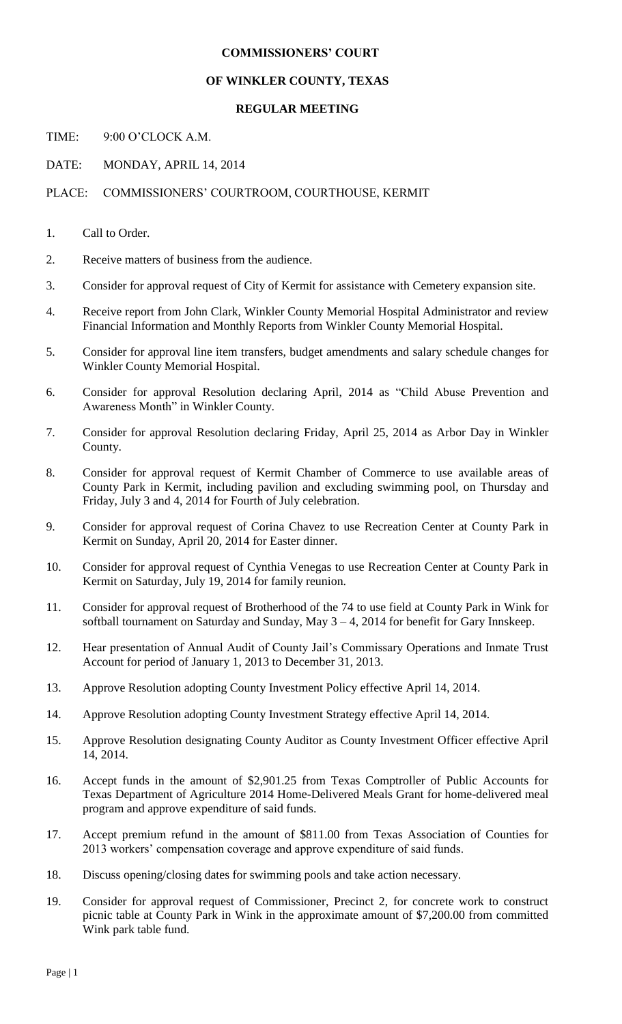# **COMMISSIONERS' COURT**

## **OF WINKLER COUNTY, TEXAS**

## **REGULAR MEETING**

TIME: 9:00 O'CLOCK A.M.

DATE: MONDAY, APRIL 14, 2014

# PLACE: COMMISSIONERS' COURTROOM, COURTHOUSE, KERMIT

- 1. Call to Order.
- 2. Receive matters of business from the audience.
- 3. Consider for approval request of City of Kermit for assistance with Cemetery expansion site.
- 4. Receive report from John Clark, Winkler County Memorial Hospital Administrator and review Financial Information and Monthly Reports from Winkler County Memorial Hospital.
- 5. Consider for approval line item transfers, budget amendments and salary schedule changes for Winkler County Memorial Hospital.
- 6. Consider for approval Resolution declaring April, 2014 as "Child Abuse Prevention and Awareness Month" in Winkler County.
- 7. Consider for approval Resolution declaring Friday, April 25, 2014 as Arbor Day in Winkler County.
- 8. Consider for approval request of Kermit Chamber of Commerce to use available areas of County Park in Kermit, including pavilion and excluding swimming pool, on Thursday and Friday, July 3 and 4, 2014 for Fourth of July celebration.
- 9. Consider for approval request of Corina Chavez to use Recreation Center at County Park in Kermit on Sunday, April 20, 2014 for Easter dinner.
- 10. Consider for approval request of Cynthia Venegas to use Recreation Center at County Park in Kermit on Saturday, July 19, 2014 for family reunion.
- 11. Consider for approval request of Brotherhood of the 74 to use field at County Park in Wink for softball tournament on Saturday and Sunday, May  $3 - 4$ , 2014 for benefit for Gary Innskeep.
- 12. Hear presentation of Annual Audit of County Jail's Commissary Operations and Inmate Trust Account for period of January 1, 2013 to December 31, 2013.
- 13. Approve Resolution adopting County Investment Policy effective April 14, 2014.
- 14. Approve Resolution adopting County Investment Strategy effective April 14, 2014.
- 15. Approve Resolution designating County Auditor as County Investment Officer effective April 14, 2014.
- 16. Accept funds in the amount of \$2,901.25 from Texas Comptroller of Public Accounts for Texas Department of Agriculture 2014 Home-Delivered Meals Grant for home-delivered meal program and approve expenditure of said funds.
- 17. Accept premium refund in the amount of \$811.00 from Texas Association of Counties for 2013 workers' compensation coverage and approve expenditure of said funds.
- 18. Discuss opening/closing dates for swimming pools and take action necessary.
- 19. Consider for approval request of Commissioner, Precinct 2, for concrete work to construct picnic table at County Park in Wink in the approximate amount of \$7,200.00 from committed Wink park table fund.